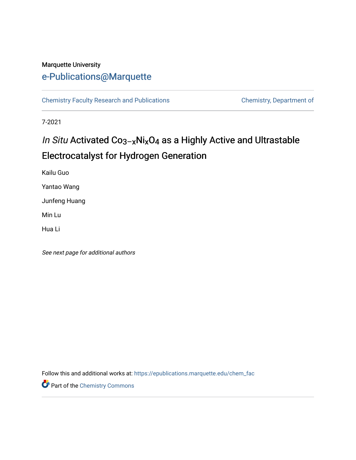#### Marquette University

# [e-Publications@Marquette](https://epublications.marquette.edu/)

[Chemistry Faculty Research and Publications](https://epublications.marquette.edu/chem_fac) **Chemistry, Department of** 

7-2021

# In Situ Activated Co3–xNixO4 as a Highly Active and Ultrastable Electrocatalyst for Hydrogen Generation

Kailu Guo

Yantao Wang

Junfeng Huang

Min Lu

Hua Li

See next page for additional authors

Follow this and additional works at: [https://epublications.marquette.edu/chem\\_fac](https://epublications.marquette.edu/chem_fac?utm_source=epublications.marquette.edu%2Fchem_fac%2F1048&utm_medium=PDF&utm_campaign=PDFCoverPages) 

Part of the [Chemistry Commons](http://network.bepress.com/hgg/discipline/131?utm_source=epublications.marquette.edu%2Fchem_fac%2F1048&utm_medium=PDF&utm_campaign=PDFCoverPages)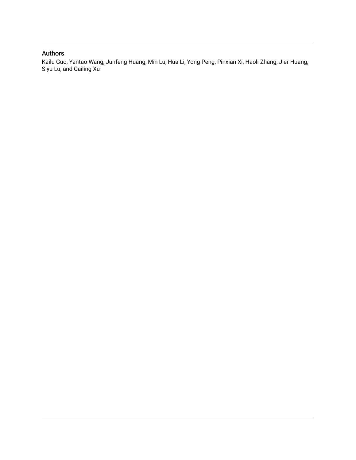#### Authors

Kailu Guo, Yantao Wang, Junfeng Huang, Min Lu, Hua Li, Yong Peng, Pinxian Xi, Haoli Zhang, Jier Huang, Siyu Lu, and Cailing Xu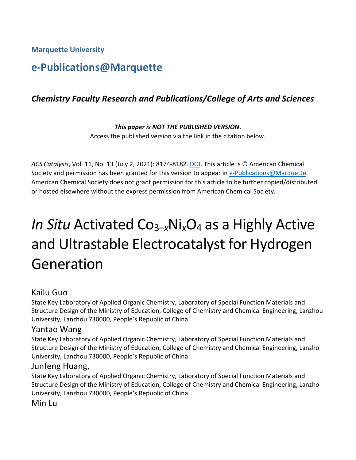**Marquette University**

# **e-Publications@Marquette**

# *Chemistry Faculty Research and Publications/College of Arts and Sciences*

*This paper is NOT THE PUBLISHED VERSION***.**  Access the published version via the link in the citation below.

*ACS Catalysis*, Vol. 11, No. 13 (July 2, 2021): 8174-8182. [DOI.](https://doi.org/10.1021/acscatal.1c01607) This article is © American Chemical Society and permission has been granted for this version to appear in [e-Publications@Marquette.](http://epublications.marquette.edu/) American Chemical Society does not grant permission for this article to be further copied/distributed or hosted elsewhere without the express permission from American Chemical Society.

# *In Situ* Activated Co3–*x*Ni*x*O4 as a Highly Active and Ultrastable Electrocatalyst for Hydrogen Generation

#### Kailu Guo

State Key Laboratory of Applied Organic Chemistry, Laboratory of Special Function Materials and Structure Design of the Ministry of Education, College of Chemistry and Chemical Engineering, Lanzhou University, Lanzhou 730000, People's Republic of China

#### Yantao Wang

State Key Laboratory of Applied Organic Chemistry, Laboratory of Special Function Materials and Structure Design of the Ministry of Education, College of Chemistry and Chemical Engineering, Lanzho University, Lanzhou 730000, People's Republic of China

#### Junfeng Huang,

State Key Laboratory of Applied Organic Chemistry, Laboratory of Special Function Materials and Structure Design of the Ministry of Education, College of Chemistry and Chemical Engineering, Lanzho University, Lanzhou 730000, People's Republic of China

Min Lu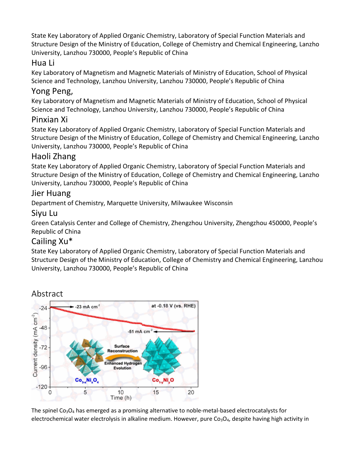State Key Laboratory of Applied Organic Chemistry, Laboratory of Special Function Materials and Structure Design of the Ministry of Education, College of Chemistry and Chemical Engineering, Lanzho University, Lanzhou 730000, People's Republic of China

#### Hua Li

Key Laboratory of Magnetism and Magnetic Materials of Ministry of Education, School of Physical Science and Technology, Lanzhou University, Lanzhou 730000, People's Republic of China

# Yong Peng,

Key Laboratory of Magnetism and Magnetic Materials of Ministry of Education, School of Physical Science and Technology, Lanzhou University, Lanzhou 730000, People's Republic of China

#### Pinxian Xi

State Key Laboratory of Applied Organic Chemistry, Laboratory of Special Function Materials and Structure Design of the Ministry of Education, College of Chemistry and Chemical Engineering, Lanzho University, Lanzhou 730000, People's Republic of China

# Haoli Zhang

State Key Laboratory of Applied Organic Chemistry, Laboratory of Special Function Materials and Structure Design of the Ministry of Education, College of Chemistry and Chemical Engineering, Lanzho University, Lanzhou 730000, People's Republic of China

#### Jier Huang

Department of Chemistry, Marquette University, Milwaukee Wisconsin

#### Siyu Lu

Green Catalysis Center and College of Chemistry, Zhengzhou University, Zhengzhou 450000, People's Republic of China

# Cailing Xu\*

State Key Laboratory of Applied Organic Chemistry, Laboratory of Special Function Materials and Structure Design of the Ministry of Education, College of Chemistry and Chemical Engineering, Lanzhou University, Lanzhou 730000, People's Republic of China



The spinel  $Co<sub>3</sub>O<sub>4</sub>$  has emerged as a promising alternative to noble-metal-based electrocatalysts for electrochemical water electrolysis in alkaline medium. However, pure Co<sub>3</sub>O<sub>4</sub>, despite having high activity in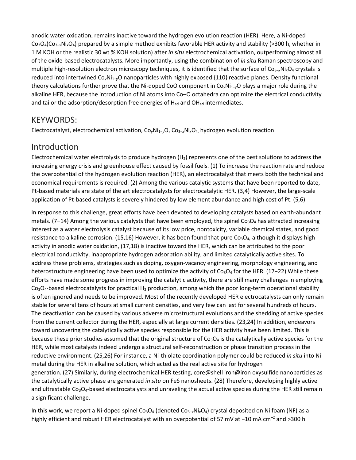anodic water oxidation, remains inactive toward the hydrogen evolution reaction (HER). Here, a Ni-doped Co3O4(Co3–*x*Ni*x*O4) prepared by a simple method exhibits favorable HER activity and stability (>300 h, whether in 1 M KOH or the realistic 30 wt % KOH solution) after *in situ* electrochemical activation, outperforming almost all of the oxide-based electrocatalysts. More importantly, using the combination of *in situ* Raman spectroscopy and multiple high-resolution electron microscopy techniques, it is identified that the surface of Co<sub>3-x</sub>Ni<sub>x</sub>O<sub>4</sub> crystals is reduced into intertwined Co<sub>v</sub>Ni<sub>1-v</sub>O nanoparticles with highly exposed {110} reactive planes. Density functional theory calculations further prove that the Ni-doped CoO component in Co<sub>y</sub>Ni<sub>1-y</sub>O plays a major role during the alkaline HER, because the introduction of Ni atoms into Co–O octahedra can optimize the electrical conductivity and tailor the adsorption/desorption free energies of  $H_{ad}$  and  $OH_{ad}$  intermediates.

#### KEYWORDS:

Electrocatalyst, electrochemical activation, Co<sub>y</sub>Ni<sub>1−y</sub>O, Co<sub>3−x</sub>Ni<sub>x</sub>O<sub>4</sub>, hydrogen evolution reaction

#### Introduction

Electrochemical water electrolysis to produce hydrogen  $(H<sub>2</sub>)$  represents one of the best solutions to address the increasing energy crisis and greenhouse effect caused by fossil fuels. (1) To increase the reaction rate and reduce the overpotential of the hydrogen evolution reaction (HER), an electrocatalyst that meets both the technical and economical requirements is required. (2) Among the various catalytic systems that have been reported to date, Pt-based materials are state of the art electrocatalysts for electrocatalytic HER. (3,4) However, the large-scale application of Pt-based catalysts is severely hindered by low element abundance and high cost of Pt. (5,6)

In response to this challenge, great efforts have been devoted to developing catalysts based on earth-abundant metals. (7−14) Among the various catalysts that have been employed, the spinel Co<sub>3</sub>O<sub>4</sub> has attracted increasing interest as a water electrolysis catalyst because of its low price, nontoxicity, variable chemical states, and good resistance to alkaline corrosion. (15,16) However, it has been found that pure  $Co<sub>3</sub>O<sub>4</sub>$ , although it displays high activity in anodic water oxidation, (17,18) is inactive toward the HER, which can be attributed to the poor electrical conductivity, inappropriate hydrogen adsorption ability, and limited catalytically active sites. To address these problems, strategies such as doping, oxygen-vacancy engineering, morphology engineering, and heterostructure engineering have been used to optimize the activity of Co<sub>3</sub>O<sub>4</sub> for the HER. (17−22) While these efforts have made some progress in improving the catalytic activity, there are still many challenges in employing  $Co<sub>3</sub>O<sub>4</sub>$ -based electrocatalysts for practical H<sub>2</sub> production, among which the poor long-term operational stability is often ignored and needs to be improved. Most of the recently developed HER electrocatalysts can only remain stable for several tens of hours at small current densities, and very few can last for several hundreds of hours. The deactivation can be caused by various adverse microstructural evolutions and the shedding of active species from the current collector during the HER, especially at large current densities. (23,24) In addition, endeavors toward uncovering the catalytically active species responsible for the HER activity have been limited. This is because these prior studies assumed that the original structure of  $Co<sub>3</sub>O<sub>4</sub>$  is the catalytically active species for the HER, while most catalysts indeed undergo a structural self-reconstruction or phase transition process in the reductive environment. (25,26) For instance, a Ni-thiolate coordination polymer could be reduced *in situ* into Ni metal during the HER in alkaline solution, which acted as the real active site for hydrogen generation. (27) Similarly, during electrochemical HER testing, core@shell iron@iron oxysulfide nanoparticles as the catalytically active phase are generated *in situ* on FeS nanosheets. (28) Therefore, developing highly active and ultrastable Co<sub>3</sub>O<sub>4</sub>-based electrocatalysts and unraveling the actual active species during the HER still remain a significant challenge.

In this work, we report a Ni-doped spinel Co<sub>3</sub>O<sub>4</sub> (denoted Co<sub>3–x</sub>Ni<sub>x</sub>O<sub>4</sub>) crystal deposited on Ni foam (NF) as a highly efficient and robust HER electrocatalyst with an overpotential of 57 mV at −10 mA cm<sup>-2</sup> and >300 h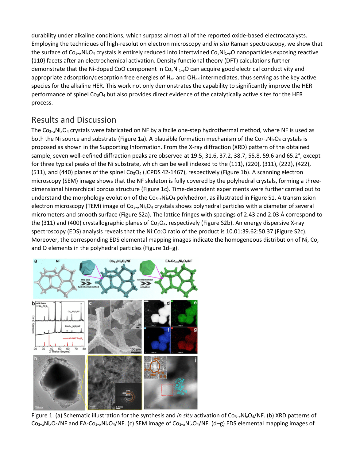durability under alkaline conditions, which surpass almost all of the reported oxide-based electrocatalysts. Employing the techniques of high-resolution electron microscopy and *in situ* Raman spectroscopy, we show that the surface of  $Co_{3-x}Ni_xO_4$  crystals is entirely reduced into intertwined  $Co_vNi_{1-y}O$  nanoparticles exposing reactive {110} facets after an electrochemical activation. Density functional theory (DFT) calculations further demonstrate that the Ni-doped CoO component in Co*y*Ni1–*y*O can acquire good electrical conductivity and appropriate adsorption/desorption free energies of  $H_{ad}$  and OH $_{ad}$  intermediates, thus serving as the key active species for the alkaline HER. This work not only demonstrates the capability to significantly improve the HER performance of spinel Co<sub>3</sub>O<sub>4</sub> but also provides direct evidence of the catalytically active sites for the HER process.

# Results and Discussion

The Co3–*x*Ni*x*O4 crystals were fabricated on NF by a facile one-step hydrothermal method, where NF is used as both the Ni source and substrate (Figure 1a). A plausible formation mechanism of the Co3−*<sup>x</sup>*Ni*x*O4 crystals is proposed as shown in the Supporting Information. From the X-ray diffraction (XRD) pattern of the obtained sample, seven well-defined diffraction peaks are observed at 19.5, 31.6, 37.2, 38.7, 55.8, 59.6 and 65.2°, except for three typical peaks of the Ni substrate, which can be well indexed to the (111), (220), (311), (222), (422), (511), and (440) planes of the spinel Co<sub>3</sub>O<sub>4</sub> (JCPDS 42-1467), respectively (Figure 1b). A scanning electron microscopy (SEM) image shows that the NF skeleton is fully covered by the polyhedral crystals, forming a threedimensional hierarchical porous structure (Figure 1c). Time-dependent experiments were further carried out to understand the morphology evolution of the Co<sub>3-x</sub>Ni<sub>x</sub>O<sub>4</sub> polyhedron, as illustrated in Figure S1. A transmission electron microscopy (TEM) image of Co3–*x*Ni*x*O4 crystals shows polyhedral particles with a diameter of several micrometers and smooth surface (Figure S2a). The lattice fringes with spacings of 2.43 and 2.03 Å correspond to the (311) and (400) crystallographic planes of  $Co<sub>3</sub>O<sub>4</sub>$ , respectively (Figure S2b). An energy dispersive X-ray spectroscopy (EDS) analysis reveals that the Ni:Co:O ratio of the product is 10.01:39.62:50.37 (Figure S2c). Moreover, the corresponding EDS elemental mapping images indicate the homogeneous distribution of Ni, Co, and O elements in the polyhedral particles (Figure 1d–g).



Figure 1. (a) Schematic illustration for the synthesis and *in situ* activation of  $Co_{3-x}Ni<sub>x</sub>O<sub>4</sub>/NF$ . (b) XRD patterns of Co3–*x*Ni*x*O4/NF and EA-Co3–*x*Ni*x*O4/NF. (c) SEM image of Co3–*x*Ni*x*O4/NF. (d–g) EDS elemental mapping images of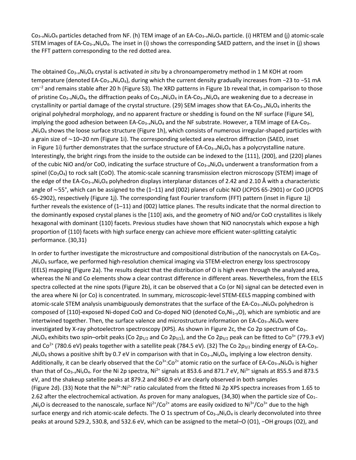Co3–*x*Ni*x*O4 particles detached from NF. (h) TEM image of an EA-Co3–*x*Ni*x*O4 particle. (i) HRTEM and (j) atomic-scale STEM images of EA-Co3–*x*Ni*x*O4. The inset in (i) shows the corresponding SAED pattern, and the inset in (j) shows the FFT pattern corresponding to the red dotted area.

The obtained Co3–*x*Ni*x*O4 crystal is activated *in situ* by a chronoamperometry method in 1 M KOH at room temperature (denoted EA-Co3–*x*Ni*x*O4), during which the current density gradually increases from −23 to −51 mA  $cm^{-2}$  and remains stable after 20 h (Figure S3). The XRD patterns in Figure 1b reveal that, in comparison to those of pristine Co3–*x*Ni*x*O4, the diffraction peaks of Co3–*x*Ni*x*O4 in EA-Co3–*x*Ni*x*O4 are weakening due to a decrease in crystallinity or partial damage of the crystal structure. (29) SEM images show that EA-Co<sub>3-x</sub>Ni<sub>x</sub>O<sub>4</sub> inherits the original polyhedral morphology, and no apparent fracture or shedding is found on the NF surface (Figure S4), implying the good adhesion between EA-Co<sub>3-x</sub>Ni<sub>x</sub>O<sub>4</sub> and the NF substrate. However, a TEM image of EA-Co<sub>3-</sub> *<sup>x</sup>*Ni*x*O4 shows the loose surface structure (Figure 1h), which consists of numerous irregular-shaped particles with a grain size of ∼10–20 nm (Figure 1i). The corresponding selected area electron diffraction (SAED, inset in Figure 1i) further demonstrates that the surface structure of EA-Co<sub>3-x</sub>Ni<sub>x</sub>O<sub>4</sub> has a polycrystalline nature. Interestingly, the bright rings from the inside to the outside can be indexed to the {111}, {200}, and {220} planes of the cubic NiO and/or CoO, indicating the surface structure of Co<sub>3–x</sub>Ni<sub>x</sub>O<sub>4</sub> underwent a transformation from a spinel ( $Co<sub>3</sub>O<sub>4</sub>$ ) to rock salt (CoO). The atomic-scale scanning transmission electron microscopy (STEM) image of the edge of the EA-Co3–*x*Ni*x*O4 polyhedron displays interplanar distances of 2.42 and 2.10 Å with a characteristic angle of ∼55°, which can be assigned to the (1–11) and (002) planes of cubic NiO (JCPDS 65-2901) or CoO (JCPDS 65-2902), respectively (Figure 1j). The corresponding fast Fourier transform (FFT) pattern (inset in Figure 1j) further reveals the existence of (1–11) and (002) lattice planes. The results indicate that the normal direction to the dominantly exposed crystal planes is the [110] axis, and the geometry of NiO and/or CoO crystallites is likely hexagonal with dominant {110} facets. Previous studies have shown that NiO nanocrystals which expose a high proportion of {110} facets with high surface energy can achieve more efficient water-splitting catalytic performance. (30,31)

In order to further investigate the microstructure and compositional distribution of the nanocrystals on EA-Co<sub>3-</sub> *<sup>x</sup>*Ni*x*O4 surface, we performed high-resolution chemical imaging via STEM-electron energy loss spectroscopy (EELS) mapping (Figure 2a). The results depict that the distribution of O is high even through the analyzed area, whereas the Ni and Co elements show a clear contrast difference in different areas. Nevertheless, from the EELS spectra collected at the nine spots (Figure 2b), it can be observed that a Co (or Ni) signal can be detected even in the area where Ni (or Co) is concentrated. In summary, microscopic-level STEM-EELS mapping combined with atomic-scale STEM analysis unambiguously demonstrates that the surface of the EA-Co3–*x*Ni*x*O4 polyhedron is composed of {110}-exposed Ni-doped CoO and Co-doped NiO (denoted Co<sub>v</sub>Ni<sub>1-v</sub>O), which are symbiotic and are intertwined together. Then, the surface valence and microstructure information on EA-Co<sub>3-x</sub>Ni<sub>x</sub>O<sub>4</sub> were investigated by X-ray photoelectron spectroscopy (XPS). As shown in Figure 2c, the Co 2p spectrum of Co<sub>3-</sub>  $x$ Ni<sub>x</sub>O<sub>4</sub> exhibits two spin–orbit peaks (Co 2p<sub>1/2</sub> and Co 2p<sub>3/2</sub>), and the Co 2p<sub>3/2</sub> peak can be fitted to Co<sup>3+</sup> (779.3 eV) and Co<sup>2+</sup> (780.6 eV) peaks together with a satellite peak (784.5 eV). (32) The Co 2p<sub>3/2</sub> binding energy of EA-Co<sub>3–</sub> *<sup>x</sup>*Ni*x*O4 shows a positive shift by 0.7 eV in comparison with that in Co3–*x*Ni*x*O4, implying a low electron density. Additionally, it can be clearly observed that the Co<sup>3+</sup>:Co<sup>2+</sup> atomic ratio on the surface of EA-Co<sub>3-x</sub>Ni<sub>x</sub>O<sub>4</sub> is higher than that of Co<sub>3–x</sub>Ni<sub>x</sub>O<sub>4</sub>. For the Ni 2p spectra, Ni<sup>2+</sup> signals at 853.6 and 871.7 eV, Ni<sup>3+</sup> signals at 855.5 and 873.5 eV, and the shakeup satellite peaks at 879.2 and 860.9 eV are clearly observed in both samples (Figure 2d). (33) Note that the Ni<sup>3+</sup>:Ni<sup>2+</sup> ratio calculated from the fitted Ni 2p XPS spectra increases from 1.65 to 2.62 after the electrochemical activation. As proven for many analogues,  $(34,30)$  when the particle size of Co<sub>1–</sub>  $y$ Ni<sub>y</sub>O is decreased to the nanoscale, surface Ni<sup>2+</sup>/Co<sup>2+</sup> atoms are easily oxidized to Ni<sup>3+</sup>/Co<sup>3+</sup> due to the high surface energy and rich atomic-scale defects. The O 1s spectrum of Co<sub>3-x</sub>Ni<sub>x</sub>O<sub>4</sub> is clearly deconvoluted into three peaks at around 529.2, 530.8, and 532.6 eV, which can be assigned to the metal–O (O1), −OH groups (O2), and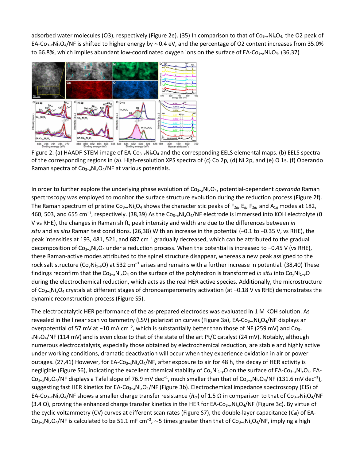adsorbed water molecules (O3), respectively (Figure 2e). (35) In comparison to that of Co3–*x*Ni*x*O4, the O2 peak of EA-Co3–*x*Ni*x*O4/NF is shifted to higher energy by ∼0.4 eV, and the percentage of O2 content increases from 35.0% to 66.8%, which implies abundant low-coordinated oxygen ions on the surface of EA-Co<sub>3-x</sub>Ni<sub>x</sub>O<sub>4</sub>. (36,37)



Figure 2. (a) HAADF-STEM image of EA-Co3–*x*Ni*x*O4 and the corresponding EELS elemental maps. (b) EELS spectra of the corresponding regions in (a). High-resolution XPS spectra of (c) Co 2p, (d) Ni 2p, and (e) O 1s. (f) Operando Raman spectra of Co3–*x*Ni*x*O4/NF at various potentials.

In order to further explore the underlying phase evolution of Co<sub>3-x</sub>Ni<sub>x</sub>O<sub>4</sub>, potential-dependent *operando* Raman spectroscopy was employed to monitor the surface structure evolution during the reduction process (Figure 2f). The Raman spectrum of pristine Co<sub>3-x</sub>Ni<sub>x</sub>O<sub>4</sub> shows the characteristic peaks of F<sub>2g</sub>, E<sub>g</sub>, F<sub>2g</sub>, and A<sub>1g</sub> modes at 182, 460, 503, and 655 cm–1 , respectively. (38,39) As the Co3–*x*Ni*x*O4/NF electrode is immersed into KOH electrolyte (0 V vs RHE), the changes in Raman shift, peak intensity and width are due to the differences between *in situ* and *ex situ* Raman test conditions. (26,38) With an increase in the potential (−0.1 to −0.35 V, vs RHE), the peak intensities at 193, 481, 521, and 687 cm<sup>-1</sup> gradually decreased, which can be attributed to the gradual decomposition of Co3–*x*Ni*x*O4 under a reduction process. When the potential is increased to −0.45 V (vs RHE), these Raman-active modes attributed to the spinel structure disappear, whereas a new peak assigned to the rock salt structure (Co<sub>y</sub>Ni<sub>1-y</sub>O) at 532 cm<sup>-1</sup> arises and remains with a further increase in potential. (38,40) These findings reconfirm that the Co<sub>3–x</sub>Ni<sub>x</sub>O<sub>4</sub> on the surface of the polyhedron is transformed *in situ* into Co<sub>v</sub>Ni<sub>1–v</sub>O during the electrochemical reduction, which acts as the real HER active species. Additionally, the microstructure of Co3–*x*Ni*x*O4 crystals at different stages of chronoamperometry activation (at −0.18 V vs RHE) demonstrates the dynamic reconstruction process (Figure S5).

The electrocatalytic HER performance of the as-prepared electrodes was evaluated in 1 M KOH solution. As revealed in the linear scan voltammetry (LSV) polarization curves (Figure 3a), EA-Co3–*x*Ni*x*O4/NF displays an overpotential of 57 mV at -10 mA cm<sup>-2</sup>, which is substantially better than those of NF (259 mV) and Co<sub>3-</sub> *<sup>x</sup>*Ni*x*O4/NF (114 mV) and is even close to that of the state of the art Pt/C catalyst (24 mV). Notably, although numerous electrocatalysts, especially those obtained by electrochemical reduction, are stable and highly active under working conditions, dramatic deactivation will occur when they experience oxidation in air or power outages. (27,41) However, for EA-Co<sub>3-x</sub>Ni<sub>x</sub>O<sub>4</sub>/NF, after exposure to air for 48 h, the decay of HER activity is negligible (Figure S6), indicating the excellent chemical stability of Co<sub>y</sub>Ni<sub>1-y</sub>O on the surface of EA-Co<sub>3-x</sub>Ni<sub>x</sub>O<sub>4</sub>. EA-Co<sub>3-x</sub>Ni<sub>x</sub>O<sub>4</sub>/NF displays a Tafel slope of 76.9 mV dec<sup>-1</sup>, much smaller than that of Co<sub>3-x</sub>Ni<sub>x</sub>O<sub>4</sub>/NF (131.6 mV dec<sup>-1</sup>), suggesting fast HER kinetics for EA-Co3–*x*Ni*x*O4/NF (Figure 3b). Electrochemical impedance spectroscopy (EIS) of EA-Co3–*x*Ni*x*O4/NF shows a smaller charge transfer resistance (*R*ct) of 1.5 Ω in comparison to that of Co3–*<sup>x</sup>*Ni*x*O4/NF (3.4 Ω), proving the enhanced charge transfer kinetics in the HER for EA-Co3–*x*Ni*x*O4/NF (Figure 3c). By virtue of the cyclic voltammetry (CV) curves at different scan rates (Figure S7), the double-layer capacitance (C<sub>dl</sub>) of EA-Co<sub>3-x</sub>Ni<sub>x</sub>O<sub>4</sub>/NF is calculated to be 51.1 mF cm<sup>-2</sup>, ~5 times greater than that of Co<sub>3-x</sub>Ni<sub>x</sub>O<sub>4</sub>/NF, implying a high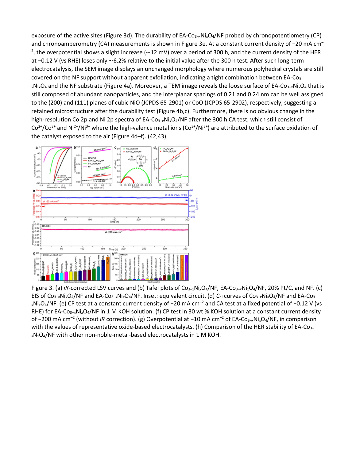exposure of the active sites (Figure 3d). The durability of EA-Co<sub>3-x</sub>Ni<sub>x</sub>O<sub>4</sub>/NF probed by chronopotentiometry (CP) and chronoamperometry (CA) measurements is shown in Figure 3e. At a constant current density of −20 mA cm– 2 , the overpotential shows a slight increase (∼12 mV) over a period of 300 h, and the current density of the HER at −0.12 V (vs RHE) loses only ∼6.2% relative to the initial value after the 300 h test. After such long-term electrocatalysis, the SEM image displays an unchanged morphology where numerous polyhedral crystals are still covered on the NF support without apparent exfoliation, indicating a tight combination between EA-Co<sub>3–</sub> *<sup>x</sup>*Ni*x*O4 and the NF substrate (Figure 4a). Moreover, a TEM image reveals the loose surface of EA-Co3–*x*Ni*x*O4 that is still composed of abundant nanoparticles, and the interplanar spacings of 0.21 and 0.24 nm can be well assigned to the (200) and (111) planes of cubic NiO (JCPDS 65-2901) or CoO (JCPDS 65-2902), respectively, suggesting a retained microstructure after the durability test (Figure 4b,c). Furthermore, there is no obvious change in the high-resolution Co 2p and Ni 2p spectra of EA-Co<sub>3-x</sub>Ni<sub>x</sub>O<sub>4</sub>/NF after the 300 h CA test, which still consist of  $Co^{2+}/Co^{3+}$  and Ni<sup>2+</sup>/Ni<sup>3+</sup> where the high-valence metal ions ( $Co^{3+}/Ni^{3+}$ ) are attributed to the surface oxidation of the catalyst exposed to the air (Figure 4d–f). (42,43)



Figure 3. (a) *iR*-corrected LSV curves and (b) Tafel plots of Co<sub>3-x</sub>Ni<sub>x</sub>O<sub>4</sub>/NF, EA-Co<sub>3-x</sub>Ni<sub>x</sub>O<sub>4</sub>/NF, 20% Pt/C, and NF. (c) EIS of Co<sub>3–x</sub>Ni<sub>x</sub>O<sub>4</sub>/NF and EA-Co<sub>3–x</sub>Ni<sub>x</sub>O<sub>4</sub>/NF. Inset: equivalent circuit. (d) *C*<sub>dl</sub> curves of Co<sub>3–x</sub>Ni<sub>x</sub>O<sub>4</sub>/NF and EA-Co<sub>3–</sub> *x*Ni<sub>x</sub>O<sub>4</sub>/NF. (e) CP test at a constant current density of −20 mA cm<sup>-2</sup> and CA test at a fixed potential of -0.12 V (vs RHE) for EA-Co<sub>3-x</sub>Ni<sub>x</sub>O<sub>4</sub>/NF in 1 M KOH solution. (f) CP test in 30 wt % KOH solution at a constant current density of −200 mA cm–2 (without *iR* correction). (g) Overpotential at −10 mA cm–2 of EA-Co3–*x*Ni*x*O4/NF, in comparison with the values of representative oxide-based electrocatalysts. (h) Comparison of the HER stability of EA-Co<sub>3-</sub> *x*N*x*O4/NF with other non-noble-metal-based electrocatalysts in 1 M KOH.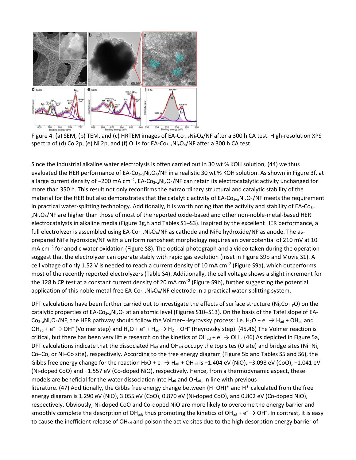

Figure 4. (a) SEM, (b) TEM, and (c) HRTEM images of EA-Co3–*x*Ni*x*O4/NF after a 300 h CA test. High-resolution XPS spectra of (d) Co 2p, (e) Ni 2p, and (f) O 1s for EA-Co3–*x*Ni*x*O4/NF after a 300 h CA test.

Since the industrial alkaline water electrolysis is often carried out in 30 wt % KOH solution, (44) we thus evaluated the HER performance of EA-Co<sub>3-x</sub>Ni<sub>x</sub>O<sub>4</sub>/NF in a realistic 30 wt % KOH solution. As shown in Figure 3f, at a large current density of -200 mA cm<sup>-2</sup>, EA-Co<sub>3-x</sub>Ni<sub>x</sub>O<sub>4</sub>/NF can retain its electrocatalytic activity unchanged for more than 350 h. This result not only reconfirms the extraordinary structural and catalytic stability of the material for the HER but also demonstrates that the catalytic activity of EA-Co<sub>3-x</sub>Ni<sub>x</sub>O<sub>4</sub>/NF meets the requirement in practical water-splitting technology. Additionally, it is worth noting that the activity and stability of EA-Co<sub>3–</sub> *<sup>x</sup>*Ni*x*O4/NF are higher than those of most of the reported oxide-based and other non-noble-metal-based HER electrocatalysts in alkaline media (Figure 3g,h and Tables S1–S3). Inspired by the excellent HER performance, a full electrolyzer is assembled using EA-Co3–*x*Ni*x*O4/NF as cathode and NiFe hydroxide/NF as anode. The asprepared NiFe hydroxide/NF with a uniform nanosheet morphology requires an overpotential of 210 mV at 10  $mA$  cm<sup>-2</sup> for anodic water oxidation (Figure S8). The optical photograph and a video taken during the operation suggest that the electrolyzer can operate stably with rapid gas evolution (inset in Figure S9b and Movie S1). A cell voltage of only 1.52 V is needed to reach a current density of 10 mA  $cm^{-2}$  (Figure S9a), which outperforms most of the recently reported electrolyzers (Table S4). Additionally, the cell voltage shows a slight increment for the 128 h CP test at a constant current density of 20 mA  $cm^{-2}$  (Figure S9b), further suggesting the potential application of this noble-metal-free EA-Co<sub>3-x</sub>Ni<sub>x</sub>O<sub>4</sub>/NF electrode in a practical water-splitting system.

DFT calculations have been further carried out to investigate the effects of surface structure (Ni<sub>y</sub>Co<sub>1-y</sub>O) on the catalytic properties of EA-Co3–*x*Ni*x*O4 at an atomic level (Figures S10–S13). On the basis of the Tafel slope of EA- $Co_{3-x}Ni_xO_4/NF$ , the HER pathway should follow the Volmer–Heyrovsky process: i.e. H<sub>2</sub>O + e<sup>-</sup>  $\rightarrow$  H<sub>ad</sub> + OH<sub>ad</sub> and OH<sub>ad</sub> +  $e^ \rightarrow$  OH<sup>-</sup> (Volmer step) and H<sub>2</sub>O +  $e^-$  + H<sub>ad</sub>  $\rightarrow$  H<sub>2</sub> + OH<sup>-</sup> (Heyrovsky step). (45,46) The Volmer reaction is critical, but there has been very little research on the kinetics of OH<sub>ad</sub> + e<sup>-</sup>  $\rightarrow$  OH<sup>-</sup>. (46) As depicted in Figure 5a, DFT calculations indicate that the dissociated H<sub>ad</sub> and OH<sub>ad</sub> occupy the top sites (O site) and bridge sites (Ni–Ni, Co–Co, or Ni–Co site), respectively. According to the free energy diagram (Figure 5b and Tables S5 and S6), the Gibbs free energy change for the reaction H<sub>2</sub>O + e<sup>-</sup> → H<sub>ad</sub> + OH<sub>ad</sub> is -1.404 eV (NiO), -3.098 eV (CoO), -1.041 eV (Ni-doped CoO) and −1.557 eV (Co-doped NiO), respectively. Hence, from a thermodynamic aspect, these models are beneficial for the water dissociation into  $H_{ad}$  and  $OH_{ad}$ , in line with previous literature. (47) Additionally, the Gibbs free energy change between (H–OH)\* and H\* calculated from the free energy diagram is 1.290 eV (NiO), 3.055 eV (CoO), 0.870 eV (Ni-doped CoO), and 0.802 eV (Co-doped NiO), respectively. Obviously, Ni-doped CoO and Co-doped NiO are more likely to overcome the energy barrier and smoothly complete the desorption of OH<sub>ad</sub>, thus promoting the kinetics of OH<sub>ad</sub> + e<sup>-</sup>  $\to$  OH<sup>-</sup>. In contrast, it is easy to cause the inefficient release of OH<sub>ad</sub> and poison the active sites due to the high desorption energy barrier of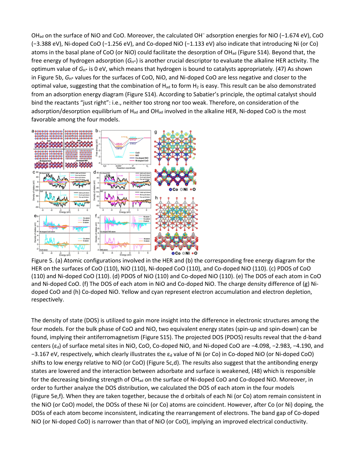OH<sub>ad</sub> on the surface of NiO and CoO. Moreover, the calculated OH<sup>–</sup> adsorption energies for NiO (−1.674 eV), CoO (−3.388 eV), Ni-doped CoO (−1.256 eV), and Co-doped NiO (−1.133 eV) also indicate that introducing Ni (or Co) atoms in the basal plane of CoO (or NiO) could facilitate the desorption of OH<sub>ad</sub> (Figure S14). Beyond that, the free energy of hydrogen adsorption (G<sub>H\*</sub>) is another crucial descriptor to evaluate the alkaline HER activity. The optimum value of *G*H\* is 0 eV, which means that hydrogen is bound to catalysts appropriately. (47) As shown in Figure 5b, *G*H\* values for the surfaces of CoO, NiO, and Ni-doped CoO are less negative and closer to the optimal value, suggesting that the combination of  $H_{ad}$  to form  $H_2$  is easy. This result can be also demonstrated from an adsorption energy diagram (Figure S14). According to Sabatier's principle, the optimal catalyst should bind the reactants "just right": i.e., neither too strong nor too weak. Therefore, on consideration of the adsorption/desorption equilibrium of H<sub>ad</sub> and OH<sub>ad</sub> involved in the alkaline HER, Ni-doped CoO is the most favorable among the four models.



Figure 5. (a) Atomic configurations involved in the HER and (b) the corresponding free energy diagram for the HER on the surfaces of CoO (110), NiO (110), Ni-doped CoO (110), and Co-doped NiO (110). (c) PDOS of CoO (110) and Ni-doped CoO (110). (d) PDOS of NiO (110) and Co-doped NiO (110). (e) The DOS of each atom in CoO and Ni-doped CoO. (f) The DOS of each atom in NiO and Co-doped NiO. The charge density difference of (g) Nidoped CoO and (h) Co-doped NiO. Yellow and cyan represent electron accumulation and electron depletion, respectively.

The density of state (DOS) is utilized to gain more insight into the difference in electronic structures among the four models. For the bulk phase of CoO and NiO, two equivalent energy states (spin-up and spin-down) can be found, implying their antiferromagnetism (Figure S15). The projected DOS (PDOS) results reveal that the d-band centers (ε<sub>d</sub>) of surface metal sites in NiO, CoO, Co-doped NiO, and Ni-doped CoO are −4.098, −2.983, −4.190, and −3.167 eV, respectively, which clearly illustrates the  $\varepsilon_d$  value of Ni (or Co) in Co-doped NiO (or Ni-doped CoO) shifts to low energy relative to NiO (or CoO) (Figure 5c,d). The results also suggest that the antibonding energy states are lowered and the interaction between adsorbate and surface is weakened, (48) which is responsible for the decreasing binding strength of OH<sub>ad</sub> on the surface of Ni-doped CoO and Co-doped NiO. Moreover, in order to further analyze the DOS distribution, we calculated the DOS of each atom in the four models (Figure 5e,f). When they are taken together, because the d orbitals of each Ni (or Co) atom remain consistent in the NiO (or CoO) model, the DOSs of these Ni (or Co) atoms are coincident. However, after Co (or Ni) doping, the DOSs of each atom become inconsistent, indicating the rearrangement of electrons. The band gap of Co-doped NiO (or Ni-doped CoO) is narrower than that of NiO (or CoO), implying an improved electrical conductivity.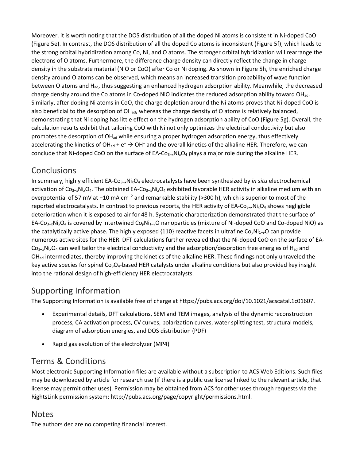Moreover, it is worth noting that the DOS distribution of all the doped Ni atoms is consistent in Ni-doped CoO (Figure 5e). In contrast, the DOS distribution of all the doped Co atoms is inconsistent (Figure 5f), which leads to the strong orbital hybridization among Co, Ni, and O atoms. The stronger orbital hybridization will rearrange the electrons of O atoms. Furthermore, the difference charge density can directly reflect the change in charge density in the substrate material (NiO or CoO) after Co or Ni doping. As shown in Figure 5h, the enriched charge density around O atoms can be observed, which means an increased transition probability of wave function between O atoms and H<sub>ad</sub>, thus suggesting an enhanced hydrogen adsorption ability. Meanwhile, the decreased charge density around the Co atoms in Co-doped NiO indicates the reduced adsorption ability toward OH<sub>ad</sub>. Similarly, after doping Ni atoms in CoO, the charge depletion around the Ni atoms proves that Ni-doped CoO is also beneficial to the desorption of OH<sub>ad</sub>, whereas the charge density of O atoms is relatively balanced, demonstrating that Ni doping has little effect on the hydrogen adsorption ability of CoO (Figure 5g). Overall, the calculation results exhibit that tailoring CoO with Ni not only optimizes the electrical conductivity but also promotes the desorption of  $OH_{ad}$  while ensuring a proper hydrogen adsorption energy, thus effectively accelerating the kinetics of OH<sub>ad</sub> +  $e^- \rightarrow$  OH<sup>-</sup> and the overall kinetics of the alkaline HER. Therefore, we can conclude that Ni-doped CoO on the surface of EA-Co<sub>3-x</sub>Ni<sub>x</sub>O<sub>4</sub> plays a major role during the alkaline HER.

# **Conclusions**

In summary, highly efficient EA-Co3–*x*Ni*x*O4 electrocatalysts have been synthesized by *in situ* electrochemical activation of Co3–*x*Ni*x*O4. The obtained EA-Co3–*x*Ni*x*O4 exhibited favorable HER activity in alkaline medium with an overpotential of 57 mV at −10 mA cm<sup>-2</sup> and remarkable stability (>300 h), which is superior to most of the reported electrocatalysts. In contrast to previous reports, the HER activity of EA-Co3–*x*Ni*x*O4 shows negligible deterioration when it is exposed to air for 48 h. Systematic characterization demonstrated that the surface of EA-Co3–*x*Ni*x*O4 is covered by intertwined Co*y*Ni1–*y*O nanoparticles (mixture of Ni-doped CoO and Co-doped NiO) as the catalytically active phase. The highly exposed {110} reactive facets in ultrafine Co*y*Ni1–*y*O can provide numerous active sites for the HER. DFT calculations further revealed that the Ni-doped CoO on the surface of EA- $Co_{3-x}Ni_xO_4$  can well tailor the electrical conductivity and the adsorption/desorption free energies of H<sub>ad</sub> and  $OH<sub>ad</sub>$  intermediates, thereby improving the kinetics of the alkaline HER. These findings not only unraveled the key active species for spinel Co<sub>3</sub>O<sub>4</sub>-based HER catalysts under alkaline conditions but also provided key insight into the rational design of high-efficiency HER electrocatalysts.

# Supporting Information

The Supporting Information is available free of charge at https://pubs.acs.org/doi/10.1021/acscatal.1c01607.

- Experimental details, DFT calculations, SEM and TEM images, analysis of the dynamic reconstruction process, CA activation process, CV curves, polarization curves, water splitting test, structural models, diagram of adsorption energies, and DOS distribution (PDF)
- Rapid gas evolution of the electrolyzer (MP4)

# Terms & Conditions

Most electronic Supporting Information files are available without a subscription to ACS Web Editions. Such files may be downloaded by article for research use (if there is a public use license linked to the relevant article, that license may permit other uses). Permission may be obtained from ACS for other uses through requests via the RightsLink permission system: http://pubs.acs.org/page/copyright/permissions.html.

#### **Notes**

The authors declare no competing financial interest.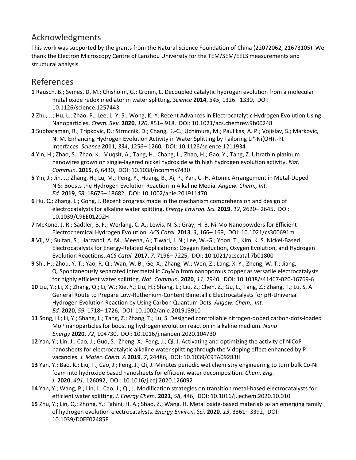# Acknowledgments

This work was supported by the grants from the Natural Science Foundation of China (22072062, 21673105). We thank the Electron Microscopy Centre of Lanzhou University for the TEM/SEM/EELS measurements and structural analysis.

#### References

- **1** Rausch, B.; Symes, D. M.; Chisholm, G.; Cronin, L. Decoupled catalytic hydrogen evolution from a molecular metal oxide redox mediator in water splitting. *Science* **2014**, *345*, 1326– 1330, DOI: 10.1126/science.1257443
- **2** Zhu, J.; Hu, L.; Zhao, P.; Lee, L. Y. S.; Wong, K.-Y. Recent Advances in Electrocatalytic Hydrogen Evolution Using Nanoparticles. *Chem. Rev.* **2020**, *120*, 851– 918, DOI: 10.1021/acs.chemrev.9b00248
- **3** Subbaraman, R.; Tripkovic, D.; Strmcnik, D.; Chang, K.-C.; Uchimura, M.; Paulikas, A. P.; Vojislav, S.; Markovic, N. M. Enhancing Hydrogen Evolution Activity in Water Splitting by Tailoring Li<sup>+</sup>-Ni(OH)<sub>2</sub>-Pt Interfaces. *Science* **2011**, *334*, 1256– 1260, DOI: 10.1126/science.1211934
- **4** Yin, H.; Zhao, S.; Zhao, K.; Muqsit, A.; Tang, H.; Chang, L.; Zhao, H.; Gao, Y.; Tang, Z. Ultrathin platinum nanowires grown on single-layered nickel hydroxide with high hydrogen evolution activity. *Nat. Commun.* **2015**, *6*, 6430, DOI: 10.1038/ncomms7430
- **5** Yin, J.; Jin, J.; Zhang, H.; Lu, M.; Peng, Y.; Huang, B.; Xi, P.; Yan, C.-H. Atomic Arrangement in Metal-Doped NiS2 Boosts the Hydrogen Evolution Reaction in Alkaline Media. *Angew. Chem., Int. Ed.* **2019**, *58*, 18676– 18682, DOI: 10.1002/anie.201911470
- **6** Hu, C.; Zhang, L.; Gong, J. Recent progress made in the mechanism comprehension and design of electrocatalysts for alkaline water splitting. *Energy Environ. Sci.* **2019**, *12*, 2620– 2645, DOI: 10.1039/C9EE01202H
- **7** McKone, J. R.; Sadtler, B. F.; Werlang, C. A.; Lewis, N. S.; Gray, H. B. Ni-Mo Nanopowders for Efficient Electrochemical Hydrogen Evolution. *ACS Catal.* **2013**, *3*, 166– 169, DOI: 10.1021/cs300691m
- **8** Vij, V.; Sultan, S.; Harzandi, A. M.; Meena, A.; Tiwari, J. N.; Lee, W.-G.; Yoon, T.; Kim, K. S. Nickel-Based Electrocatalysts for Energy-Related Applications: Oxygen Reduction, Oxygen Evolution, and Hydrogen Evolution Reactions. *ACS Catal.* **2017**, *7*, 7196– 7225, DOI: 10.1021/acscatal.7b01800
- **9** Shi, H.; Zhou, Y. T.; Yao, R. Q.; Wan, W. B.; Ge, X.; Zhang, W.; Wen, Z.; Lang, X. Y.; Zheng, W. T.; Jiang, Q. Spontaneously separated intermetallic Co<sub>3</sub>Mo from nanoporous copper as versatile electrocatalysts for highly efficient water splitting. *Nat. Commun.* **2020**, *11*, 2940, DOI: 10.1038/s41467-020-16769-6
- **10** Liu, Y.; Li, X.; Zhang, Q.; Li, W.; Xie, Y.; Liu, H.; Shang, L.; Liu, Z.; Chen, Z.; Gu, L.; Tang, Z.; Zhang, T.; Lu, S. A General Route to Prepare Low-Ruthenium-Content Bimetallic Electrocatalysts for pH-Universal Hydrogen Evolution Reaction by Using Carbon Quantum Dots. *Angew. Chem., Int. Ed.* **2020**, *59*, 1718– 1726, DOI: 10.1002/anie.201913910
- **11** Song, H.; Li, Y.; Shang, L.; Tang, Z.; Zhang, T.; Lu, S. Designed controllable nitrogen-doped carbon-dots-loaded MoP nanoparticles for boosting hydrogen evolution reaction in alkaline medium. *Nano Energy* **2020**, *72*, 104730, DOI: 10.1016/j.nanoen.2020.104730
- **12** Yan, Y.; Lin, J.; Cao, J.; Guo, S.; Zheng, X.; Feng, J.; Qi, J. Activating and optimizing the activity of NiCoP nanosheets for electrocatalytic alkaline water splitting through the V doping effect enhanced by P vacancies. *J. Mater. Chem. A* **2019**, *7*, 24486, DOI: 10.1039/C9TA09283H
- **13** Yan, Y.; Bao, K.; Liu, T.; Cao, J.; Feng, J.; Qi, J. Minutes periodic wet chemistry engineering to turn bulk Co-Ni foam into hydroxide based nanosheets for efficient water decomposition. *Chem. Eng. J.* **2020**, *401*, 126092, DOI: 10.1016/j.cej.2020.126092
- **14** Yan, Y.; Wang, P.; Lin, J.; Cao, J.; Qi, J. Modification strategies on transition metal-based electrocatalysts for efficient water splitting. *J. Energy Chem.* **2021**, *58*, 446, DOI: 10.1016/j.jechem.2020.10.010
- **15** Zhu, Y.; Lin, Q.; Zhong, Y.; Tahini, H. A.; Shao, Z.; Wang, H. Metal oxide-based materials as an emerging family of hydrogen evolution electrocatalysts. *Energy Environ. Sci.* **2020**, *13*, 3361– 3392, DOI: 10.1039/D0EE02485F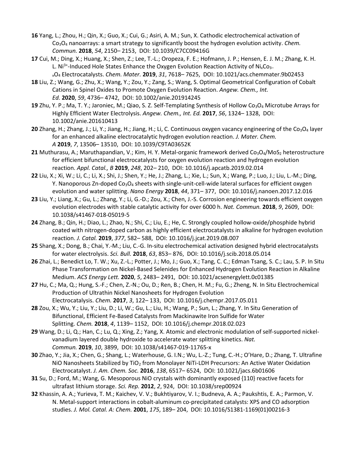- **16** Yang, L.; Zhou, H.; Qin, X.; Guo, X.; Cui, G.; Asiri, A. M.; Sun, X. Cathodic electrochemical activation of Co3O4 nanoarrays: a smart strategy to significantly boost the hydrogen evolution activity. *Chem. Commun.* **2018**, *54*, 2150– 2153, DOI: 10.1039/C7CC09416G
- **17** Cui, M.; Ding, X.; Huang, X.; Shen, Z.; Lee, T.-L.; Oropeza, F. E.; Hofmann, J. P.; Hensen, E. J. M.; Zhang, K. H. L. Ni $3+$ -Induced Hole States Enhance the Oxygen Evolution Reaction Activity of Ni<sub>x</sub>Co<sub>3</sub>-
- xO4 Electrocatalysts. *Chem. Mater.* **2019**, *31*, 7618– 7625, DOI: 10.1021/acs.chemmater.9b02453 **18** Liu, Z.; Wang, G.; Zhu, X.; Wang, Y.; Zou, Y.; Zang, S.; Wang, S. Optimal Geometrical Configuration of Cobalt Cations in Spinel Oxides to Promote Oxygen Evolution Reaction. *Angew. Chem., Int. Ed.* **2020**, *59*, 4736– 4742, DOI: 10.1002/anie.201914245
- 19 Zhu, Y. P.; Ma, T. Y.; Jaroniec, M.; Qiao, S. Z. Self-Templating Synthesis of Hollow Co<sub>3</sub>O<sub>4</sub> Microtube Arrays for Highly Efficient Water Electrolysis. *Angew. Chem., Int. Ed.* **2017**, *56*, 1324– 1328, DOI: 10.1002/anie.201610413
- 20 Zhang, H.; Zhang, J.; Li, Y.; Jiang, H.; Jiang, H.; Li, C. Continuous oxygen vacancy engineering of the Co<sub>3</sub>O<sub>4</sub> layer for an enhanced alkaline electrocatalytic hydrogen evolution reaction. *J. Mater. Chem. A* **2019**, *7*, 13506– 13510, DOI: 10.1039/C9TA03652K
- 21 Muthurasu, A.; Maruthapandian, V.; Kim, H. Y. Metal-organic framework derived Co<sub>3</sub>O<sub>4</sub>/MoS<sub>2</sub> heterostructure for efficient bifunctional electrocatalysts for oxygen evolution reaction and hydrogen evolution reaction. *Appl. Catal., B* **2019**, *248*, 202– 210, DOI: 10.1016/j.apcatb.2019.02.014
- **22** Liu, X.; Xi, W.; Li, C.; Li, X.; Shi, J.; Shen, Y.; He, J.; Zhang, L.; Xie, L.; Sun, X.; Wang, P.; Luo, J.; Liu, L.-M.; Ding, Y. Nanoporous Zn-doped Co<sub>3</sub>O<sub>4</sub> sheets with single-unit-cell-wide lateral surfaces for efficient oxygen evolution and water splitting. *Nano Energy* **2018**, *44*, 371– 377, DOI: 10.1016/j.nanoen.2017.12.016
- **23** Liu, Y.; Liang, X.; Gu, L.; Zhang, Y.; Li, G.-D.; Zou, X.; Chen, J.-S. Corrosion engineering towards efficient oxygen evolution electrodes with stable catalytic activity for over 6000 h. *Nat. Commun.* **2018**, *9*, 2609, DOI: 10.1038/s41467-018-05019-5
- **24** Zhang, B.; Qin, H.; Diao, L.; Zhao, N.; Shi, C.; Liu, E.; He, C. Strongly coupled hollow-oxide/phosphide hybrid coated with nitrogen-doped carbon as highly efficient electrocatalysts in alkaline for hydrogen evolution reaction. *J. Catal.* **2019**, *377*, 582– 588, DOI: 10.1016/j.jcat.2019.08.007
- **25** Shang, X.; Dong, B.; Chai, Y.-M.; Liu, C.-G. In-situ electrochemical activation designed hybrid electrocatalysts for water electrolysis. *Sci. Bull.* **2018**, *63*, 853– 876, DOI: 10.1016/j.scib.2018.05.014
- **26** Zhai, L.; Benedict Lo, T. W.; Xu, Z.-L.; Potter, J.; Mo, J.; Guo, X.; Tang, C. C.; Edman Tsang, S. C.; Lau, S. P. In Situ Phase Transformation on Nickel-Based Selenides for Enhanced Hydrogen Evolution Reaction in Alkaline Medium. *ACS Energy Lett.* **2020**, *5*, 2483– 2491, DOI: 10.1021/acsenergylett.0c01385
- **27** Hu, C.; Ma, Q.; Hung, S.-F.; Chen, Z.-N.; Ou, D.; Ren, B.; Chen, H. M.; Fu, G.; Zheng, N. In Situ Electrochemical Production of Ultrathin Nickel Nanosheets for Hydrogen Evolution Electrocatalysis. *Chem.* **2017**, *3*, 122– 133, DOI: 10.1016/j.chempr.2017.05.011
- **28** Zou, X.; Wu, Y.; Liu, Y.; Liu, D.; Li, W.; Gu, L.; Liu, H.; Wang, P.; Sun, L.; Zhang, Y. In Situ Generation of Bifunctional, Efficient Fe-Based Catalysts from Mackinawite Iron Sulfide for Water Splitting. *Chem.* **2018**, *4*, 1139– 1152, DOI: 10.1016/j.chempr.2018.02.023
- **29** Wang, D.; Li, Q.; Han, C.; Lu, Q.; Xing, Z.; Yang, X. Atomic and electronic modulation of self-supported nickelvanadium layered double hydroxide to accelerate water splitting kinetics. *Nat. Commun.* **2019**, *10*, 3899, DOI: 10.1038/s41467-019-11765-x
- **30** Zhao, Y.; Jia, X.; Chen, G.; Shang, L.; Waterhouse, G. I.N.; Wu, L.-Z.; Tung, C.-H.; O'Hare, D.; Zhang, T. Ultrafine NiO Nanosheets Stabilized by TiO<sub>2</sub> from Monolayer NiTi-LDH Precursors: An Active Water Oxidation Electrocatalyst. *J. Am. Chem. Soc.* **2016**, *138*, 6517– 6524, DOI: 10.1021/jacs.6b01606
- **31** Su, D.; Ford, M.; Wang, G. Mesoporous NiO crystals with dominantly exposed {110} reactive facets for ultrafast lithium storage. *Sci. Rep.* **2012**, *2*, 924, DOI: 10.1038/srep00924
- **32** Khassin, A. A.; Yurieva, T. M.; Kaichev, V. V.; Bukhtiyarov, V. I.; Budneva, A. A.; Paukshtis, E. A.; Parmon, V. N. Metal-support interactions in cobalt-aluminum co-precipitated catalysts: XPS and CO adsorption studies. *J. Mol. Catal. A: Chem.* **2001**, *175*, 189– 204, DOI: 10.1016/S1381-1169(01)00216-3